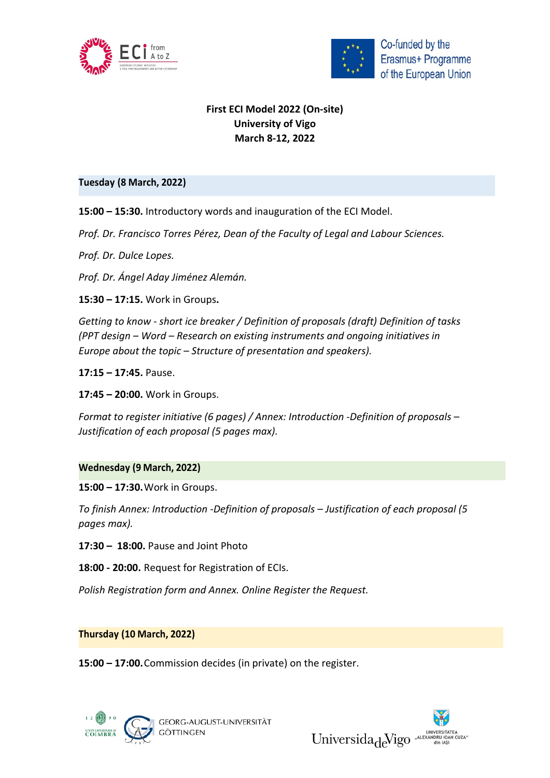



Co-funded by the Erasmus+ Programme of the European Union

## **First ECI Model 2022 (On-site) University of Vigo March 8-12, 2022**

## **Tuesday (8 March, 2022)**

**15:00 – 15:30.** Introductory words and inauguration of the ECI Model.

*Prof. Dr. Francisco Torres Pérez, Dean of the Faculty of Legal and Labour Sciences.*

*Prof. Dr. Dulce Lopes.*

*Prof. Dr. Ángel Aday Jiménez Alemán.*

**15:30 – 17:15.** Work in Groups**.**

*Getting to know - short ice breaker / Definition of proposals (draft) Definition of tasks (PPT design – Word – Research on existing instruments and ongoing initiatives in Europe about the topic – Structure of presentation and speakers).*

**17:15 – 17:45.** Pause.

**17:45 – 20:00.** Work in Groups.

*Format to register initiative (6 pages) / Annex: Introduction -Definition of proposals – Justification of each proposal (5 pages max).*

## **Wednesday (9 March, 2022)**

**15:00 – 17:30.**Work in Groups.

*To finish Annex: Introduction -Definition of proposals – Justification of each proposal (5 pages max).*

**17:30 – 18:00.** Pause and Joint Photo

**18:00 - 20:00.** Request for Registration of ECIs.

*Polish Registration form and Annex. Online Register the Request.*

**Thursday (10 March, 2022)**

**15:00 – 17:00.**Commission decides (in private) on the register.